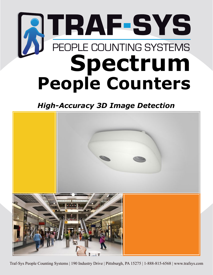# **SPECTRUM SPECTRUM People Counters**

*High-Accuracy 3D Image Detection* 



Traf-Sys People Counting Systems | 190 Industry Drive | Pittsburgh, PA 15275 | 1-888-815-6568 | www.trafsys.com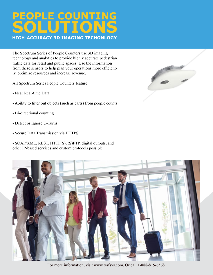# **PEOPLE COUNTING SOLUTIONS HIGH-ACCURACY 3D IMAGING TECHONLOGY**

The Spectrum Series of People Counters use 3D imaging technology and analytics to provide highly accurate pedestrian traffic data for retail and public spaces. Use the information from these sensors to help plan your operations more efficiently, optimize resources and increase revenue.

All Spectrum Series People Counters feature:

- Near Real-time Data
- Ability to filter out objects (such as carts) from people counts
- Bi-directional counting
- Detect or Ignore U-Turns
- Secure Data Transmission via HTTPS
- SOAP/XML, REST, HTTP(S), (S)FTP, digital outputs, and other IP-based services and custom protocols possible





For more information, visit www.trafsys.com. Or call 1-888-815-6568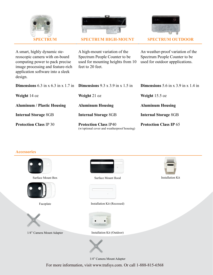



**SPECTRUM SPECTRUM HIGH-MOUNT SPECTRUM OUTDOOR**



A smart, highly dynamic stereoscopic camera with on-board computing power to pack precise image processing and feature-rich application software into a sleek design.

| A high-mount variation of the     |  |
|-----------------------------------|--|
| Spectrum People Counter to be     |  |
| used for mounting heights from 10 |  |
| feet to 20 feet.                  |  |

An weather-proof variation of the Spectrum People Counter to be used for outdoor appplications.

| <b>Dimensions</b> 6.3 in x 6.3 in x 1.7 in <b>Dimensions</b> 9.3 x 3.9 in x 1.5 in |                                                                             | <b>Dimensions</b> 5.6 in x 3.9 in x 1.4 in |
|------------------------------------------------------------------------------------|-----------------------------------------------------------------------------|--------------------------------------------|
| Weight $14 \text{ oz}$                                                             | Weight 21 oz                                                                | <b>Weight</b> $15.5$ oz                    |
| <b>Aluminum / Plastic Housing</b>                                                  | <b>Aluminum Housing</b>                                                     | <b>Aluminum Housing</b>                    |
| <b>Internal Storage 8GB</b>                                                        | <b>Internal Storage 8GB</b>                                                 | <b>Internal Storage 8GB</b>                |
| <b>Protection Class IP 30</b>                                                      | <b>Protection Class IP40</b><br>(w/optional cover and weatherproof housing) | <b>Protection Class IP 65</b>              |

# **Accessories**









Surface Mount Box Surface Mount Hood Installation Kit



Faceplate Installation Kit (Recessed)



1/4" Camera Mount Adapter Installation Kit (Outdoor)



1/4" Camera Mount Adapter

For more information, visit www.trafsys.com. Or call 1-888-815-6568